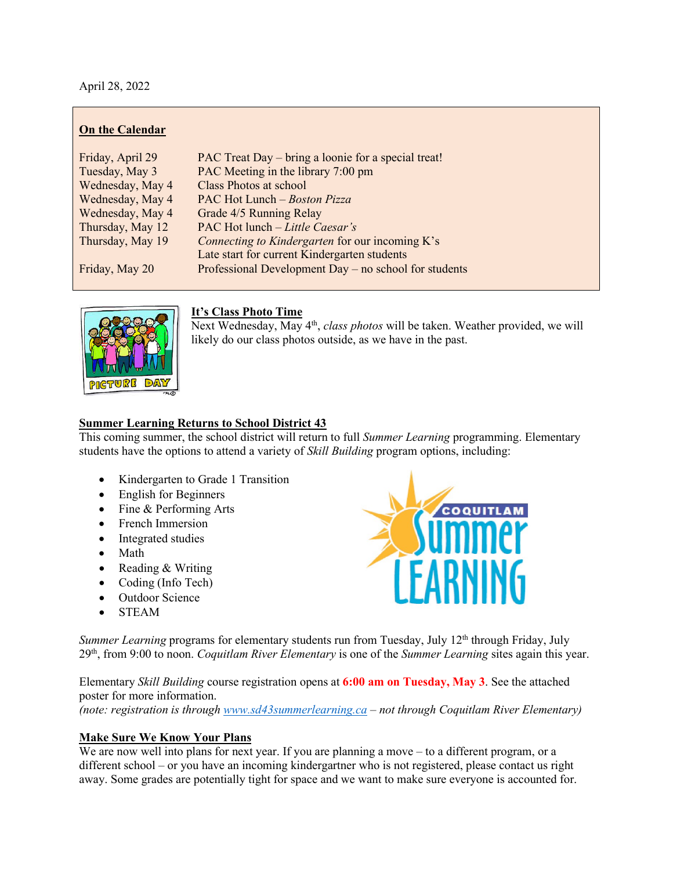April 28, 2022

## **On the Calendar**

| Friday, April 29 | PAC Treat Day – bring a loonie for a special treat!     |
|------------------|---------------------------------------------------------|
| Tuesday, May 3   | PAC Meeting in the library 7:00 pm                      |
| Wednesday, May 4 | Class Photos at school                                  |
| Wednesday, May 4 | PAC Hot Lunch - Boston Pizza                            |
| Wednesday, May 4 | Grade 4/5 Running Relay                                 |
| Thursday, May 12 | PAC Hot lunch - Little Caesar's                         |
| Thursday, May 19 | Connecting to Kindergarten for our incoming K's         |
|                  | Late start for current Kindergarten students            |
| Friday, May 20   | Professional Development Day $-$ no school for students |



### **It's Class Photo Time**

Next Wednesday, May 4<sup>th</sup>, *class photos* will be taken. Weather provided, we will likely do our class photos outside, as we have in the past.

## **Summer Learning Returns to School District 43**

This coming summer, the school district will return to full *Summer Learning* programming. Elementary students have the options to attend a variety of *Skill Building* program options, including:

- Kindergarten to Grade 1 Transition
- English for Beginners
- Fine & Performing Arts
- French Immersion
- Integrated studies
- Math
- Reading & Writing
- Coding (Info Tech)
- Outdoor Science
- STEAM



*Summer Learning* programs for elementary students run from Tuesday, July 12<sup>th</sup> through Friday, July 29th, from 9:00 to noon. *Coquitlam River Elementary* is one of the *Summer Learning* sites again this year.

Elementary *Skill Building* course registration opens at **6:00 am on Tuesday, May 3**. See the attached poster for more information.

*(note: registration is through [www.sd43summerlearning.ca](http://www.sd43summerlearning.ca/) – not through Coquitlam River Elementary)*

# **Make Sure We Know Your Plans**

We are now well into plans for next year. If you are planning a move – to a different program, or a different school – or you have an incoming kindergartner who is not registered, please contact us right away. Some grades are potentially tight for space and we want to make sure everyone is accounted for.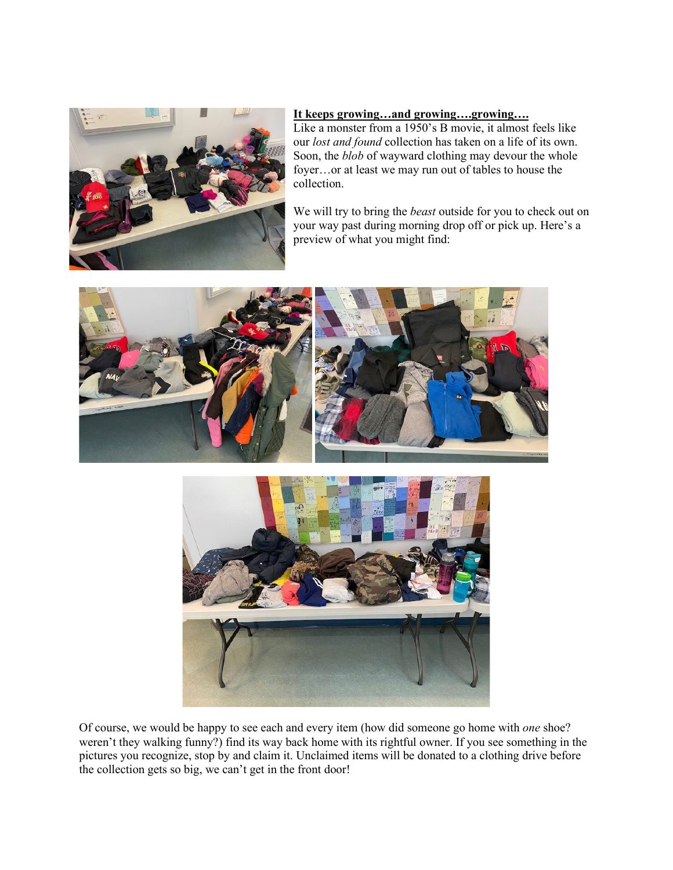

#### **It keeps growing…and growing….growing….**

Like a monster from a 1950's B movie, it almost feels like our *lost and found* collection has taken on a life of its own. Soon, the *blob* of wayward clothing may devour the whole foyer…or at least we may run out of tables to house the collection.

We will try to bring the *beast* outside for you to check out on your way past during morning drop off or pick up. Here's a preview of what you might find:





Of course, we would be happy to see each and every item (how did someone go home with *one* shoe? weren't they walking funny?) find its way back home with its rightful owner. If you see something in the pictures you recognize, stop by and claim it. Unclaimed items will be donated to a clothing drive before the collection gets so big, we can't get in the front door!